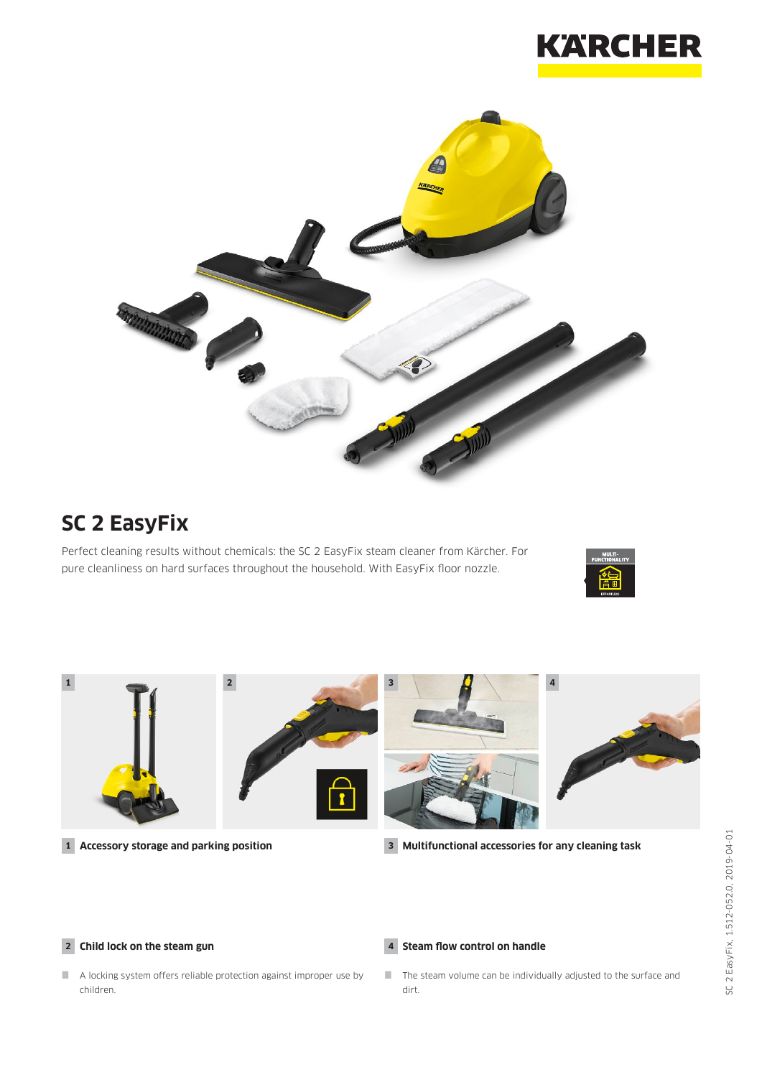



# **SC 2 EasyFix**

Perfect cleaning results without chemicals: the SC 2 EasyFix steam cleaner from Kärcher. For pure cleanliness on hard surfaces throughout the household. With EasyFix floor nozzle.





**1 Accessory storage and parking position**

**3 Multifunctional accessories for any cleaning task**

#### **2 Child lock on the steam gun**

- **4 Steam flow control on handle**
- A locking system offers reliable protection against improper use by children.

### $\Box$  The steam volume can be individually adjusted to the surface and dirt.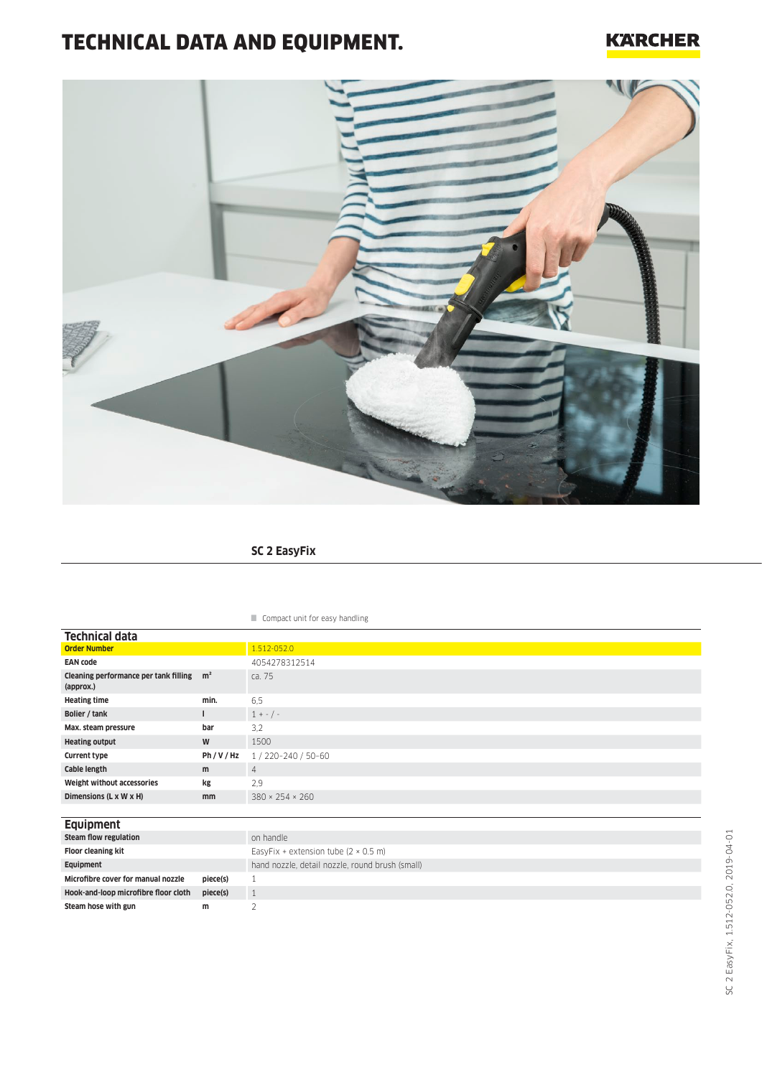# TECHNICAL DATA AND EQUIPMENT.

## **KARCHER**



## **SC 2 EasyFix**

#### Compact unit for easy handling

| <b>Technical data</b>                                             |         |                             |
|-------------------------------------------------------------------|---------|-----------------------------|
| <b>Order Number</b>                                               |         | 1.512-052.0                 |
| <b>EAN code</b>                                                   |         | 4054278312514               |
| Cleaning performance per tank filling m <sup>2</sup><br>(approx.) |         | ca. 75                      |
| <b>Heating time</b>                                               | min.    | 6,5                         |
| Bolier / tank                                                     | ı       | $1 + - 1 -$                 |
| Max. steam pressure                                               | bar     | 3,2                         |
| <b>Heating output</b>                                             | W       | 1500                        |
| <b>Current type</b>                                               | Ph/V/Hz | 1 / 220-240 / 50-60         |
| Cable length                                                      | m       | 4                           |
| Weight without accessories                                        | kg      | 2,9                         |
| Dimensions (L x W x H)                                            | mm      | $380 \times 254 \times 260$ |
|                                                                   |         |                             |
| <b>Equipment</b>                                                  |         |                             |

| on handle                                           |  |  |  |  |  |
|-----------------------------------------------------|--|--|--|--|--|
| EasyFix + extension tube $(2 \times 0.5 \text{ m})$ |  |  |  |  |  |
| hand nozzle, detail nozzle, round brush (small)     |  |  |  |  |  |
|                                                     |  |  |  |  |  |
|                                                     |  |  |  |  |  |
|                                                     |  |  |  |  |  |
|                                                     |  |  |  |  |  |